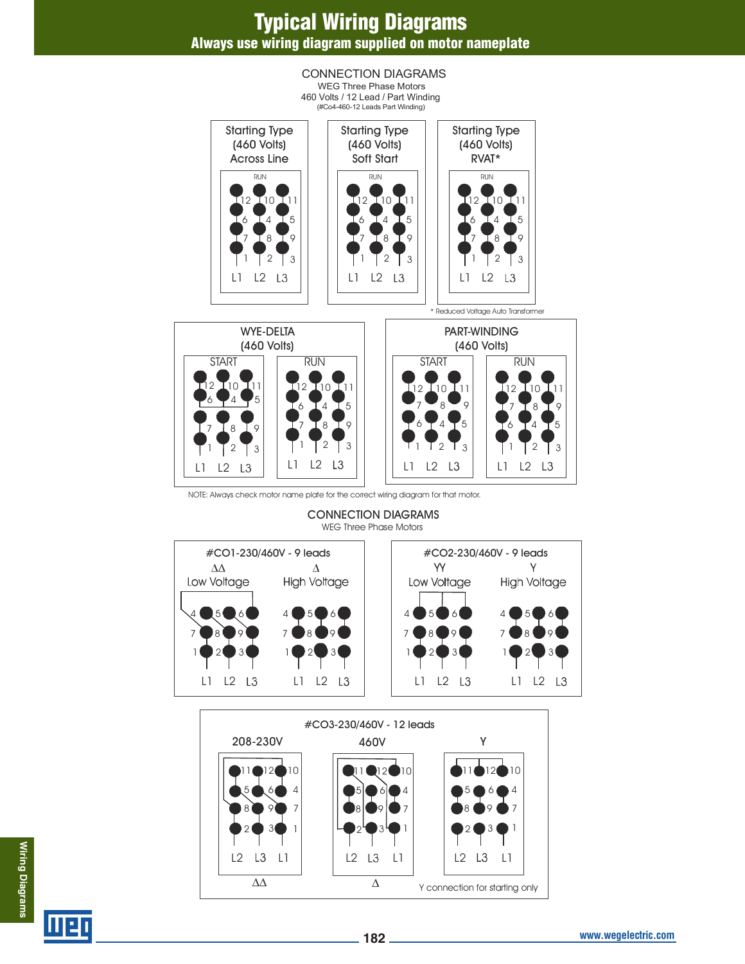## **Typical Wiring Diagrams Always use wiring diagram supplied on motor nameplate**

#### CONNECTION DIAGRAMS WEG Three Phase Motors 460 Volts / 12 Lead / Part Winding  $(#Co4-460-12$  Leads Part Winding) Starting Type Starting Type Starting Type (460 Volts) (460 Volts) (460 Volts) Across Line Soft Start RVAT\* RUN RUN RUN12 10 11 12 10 11 12 10 11 61415 61415 6 14 15 819 8 I 9 71819  $2 \mid 3$ 2  $\sqrt{3}$  $2 \mid 3$ L1 L2 L3 L1 L2  $\mathsf{L}3$ L1 L2  $\perp$ 3 \* Reduced Voltage Auto Transformer PART-WINDING WYE-DELTA (460 Volts) (460 Volts) START || RUN || || START || RUN 2 10 11 12 10 11 12 10 11 12 10 11  $6 - 4 - 5$ 61415  $\bullet_8\bullet_9$ 71819  $6 + 4 + 5$ 8 I 9 6 4 5 8 I 9

NOTE: Always check motor name plate for the correct wiring diagram for that motor.

L1 L2

 $2 \mid 3$ 

L3

2  $\overline{1}$  3

 $L3$ 

L1 L2

CONNECTION DIAGRAMS WEG Three Phase Motors

 $2$   $\overline{1}$  3

 $2 \mid 3$ 

L1 L2 L3

L1 L2 L3